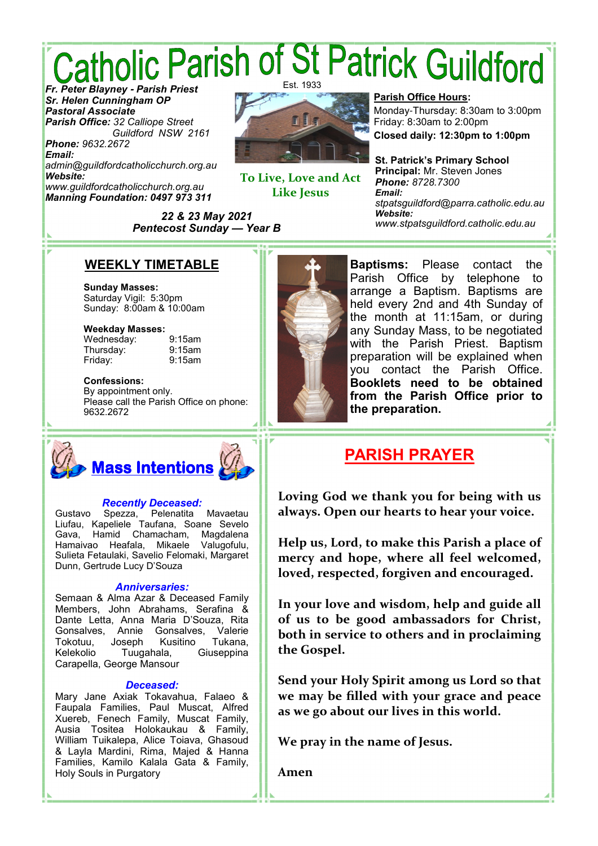# *Catholic Parish of St Patrick Guildford* Est. 1933

*Sr. Helen Cunningham OP Pastoral Associate Parish Office: 32 Calliope Street Guildford NSW 2161 Phone: 9632.2672*

*Email: admin@guildfordcatholicchurch.org.au Website: www.guildfordcatholicchurch.org.au Manning Foundation: 0497 973 311*



**To Live, Love and Act Like Jesus** 

**Parish Office Hours:**

Monday-Thursday: 8:30am to 3:00pm Friday: 8:30am to 2:00pm

**Closed daily: 12:30pm to 1:00pm**

**St. Patrick's Primary School Principal:** Mr. Steven Jones *Phone: 8728.7300 Email: stpatsguildford@parra.catholic.edu.au Website: www.stpatsguildford.catholic.edu.au*

*22 & 23 May 2021 Pentecost Sunday* **—** *Year B*

### **WEEKLY TIMETABLE**

**Sunday Masses:** Saturday Vigil: 5:30pm Sunday: 8:00am & 10:00am

#### **Weekday Masses:**

Wednesday: 9:15am Thursday: 9:15am Friday: 9:15am

#### **Confessions:**

By appointment only. Please call the Parish Office on phone: 9632.2672



### *Recently Deceased:*

Gustavo Spezza, Pelenatita Mavaetau Liufau, Kapeliele Taufana, Soane Sevelo Gava, Hamid Chamacham, Magdalena Hamaivao Heafala, Mikaele Valugofulu, Sulieta Fetaulaki, Savelio Felomaki, Margaret Dunn, Gertrude Lucy D'Souza

#### *Anniversaries:*

Semaan & Alma Azar & Deceased Family Members, John Abrahams, Serafina & Dante Letta, Anna Maria D'Souza, Rita Gonsalves, Annie Gonsalves, Valerie Tokotuu, Joseph Kusitino Tukana, Kelekolio Tuugahala, Giuseppina Carapella, George Mansour

#### *Deceased:*

Mary Jane Axiak Tokavahua, Falaeo & Faupala Families, Paul Muscat, Alfred Xuereb, Fenech Family, Muscat Family, Ausia Tositea Holokaukau & Family, William Tuikalepa, Alice Toiava, Ghasoud & Layla Mardini, Rima, Majed & Hanna Families, Kamilo Kalala Gata & Family, Holy Souls in Purgatory



**Baptisms:** Please contact the Parish Office by telephone to arrange a Baptism. Baptisms are held every 2nd and 4th Sunday of the month at 11:15am, or during any Sunday Mass, to be negotiated with the Parish Priest. Baptism preparation will be explained when you contact the Parish Office. **Booklets need to be obtained from the Parish Office prior to the preparation.**

### **PARISH PRAYER**

**Loving God we thank you for being with us always. Open our hearts to hear your voice.** 

**Help us, Lord, to make this Parish a place of mercy and hope, where all feel welcomed, loved, respected, forgiven and encouraged.** 

**In your love and wisdom, help and guide all of us to be good ambassadors for Christ, both in service to others and in proclaiming the Gospel.** 

**Send your Holy Spirit among us Lord so that we may be filled with your grace and peace as we go about our lives in this world.** 

**We pray in the name of Jesus.** 

**Amen**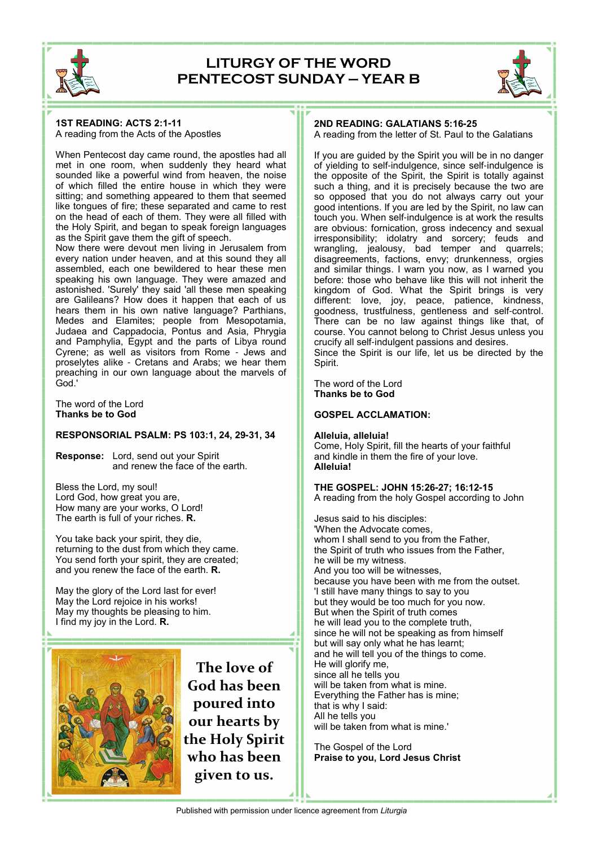

### **LITURGY OF THE WORD PENTECOST SUNDAY — YEAR B**



#### **1ST READING: ACTS 2:1-11** A reading from the Acts of the Apostles

When Pentecost day came round, the apostles had all met in one room, when suddenly they heard what sounded like a powerful wind from heaven, the noise of which filled the entire house in which they were sitting; and something appeared to them that seemed like tongues of fire; these separated and came to rest on the head of each of them. They were all filled with the Holy Spirit, and began to speak foreign languages as the Spirit gave them the gift of speech.

Now there were devout men living in Jerusalem from every nation under heaven, and at this sound they all assembled, each one bewildered to hear these men speaking his own language. They were amazed and astonished. 'Surely' they said 'all these men speaking are Galileans? How does it happen that each of us hears them in his own native language? Parthians, Medes and Elamites; people from Mesopotamia, Judaea and Cappadocia, Pontus and Asia, Phrygia and Pamphylia, Egypt and the parts of Libya round Cyrene; as well as visitors from Rome - Jews and proselytes alike - Cretans and Arabs; we hear them preaching in our own language about the marvels of God.'

The word of the Lord **Thanks be to God**

#### **RESPONSORIAL PSALM: PS 103:1, 24, 29-31, 34**

**Response:** Lord, send out your Spirit and renew the face of the earth.

Bless the Lord, my soul! Lord God, how great you are, How many are your works, O Lord! The earth is full of your riches. **R.**

You take back your spirit, they die, returning to the dust from which they came. You send forth your spirit, they are created; and you renew the face of the earth. **R.**

May the glory of the Lord last for ever! May the Lord rejoice in his works! May my thoughts be pleasing to him. I find my joy in the Lord. **R.**



**The love of God has been poured into our hearts by the Holy Spirit who has been given to us.** 

#### **2ND READING: GALATIANS 5:16-25** A reading from the letter of St. Paul to the Galatians

If you are guided by the Spirit you will be in no danger of yielding to self-indulgence, since self-indulgence is the opposite of the Spirit, the Spirit is totally against such a thing, and it is precisely because the two are so opposed that you do not always carry out your good intentions. If you are led by the Spirit, no law can touch you. When self-indulgence is at work the results are obvious: fornication, gross indecency and sexual irresponsibility; idolatry and sorcery; feuds and wrangling, jealousy, bad temper and quarrels; disagreements, factions, envy; drunkenness, orgies and similar things. I warn you now, as I warned you before: those who behave like this will not inherit the kingdom of God. What the Spirit brings is very different: love, joy, peace, patience, kindness, goodness, trustfulness, gentleness and self-control. There can be no law against things like that, of course. You cannot belong to Christ Jesus unless you crucify all self-indulgent passions and desires. Since the Spirit is our life, let us be directed by the Spirit.

The word of the Lord **Thanks be to God**

#### **GOSPEL ACCLAMATION:**

**Alleluia, alleluia!** Come, Holy Spirit, fill the hearts of your faithful and kindle in them the fire of your love. **Alleluia!**

**THE GOSPEL: JOHN 15:26-27; 16:12-15** A reading from the holy Gospel according to John

Jesus said to his disciples: 'When the Advocate comes, whom I shall send to you from the Father, the Spirit of truth who issues from the Father, he will be my witness. And you too will be witnesses, because you have been with me from the outset. 'I still have many things to say to you but they would be too much for you now. But when the Spirit of truth comes he will lead you to the complete truth, since he will not be speaking as from himself but will say only what he has learnt; and he will tell you of the things to come. He will glorify me, since all he tells you will be taken from what is mine. Everything the Father has is mine; that is why I said: All he tells you will be taken from what is mine.'

The Gospel of the Lord **Praise to you, Lord Jesus Christ**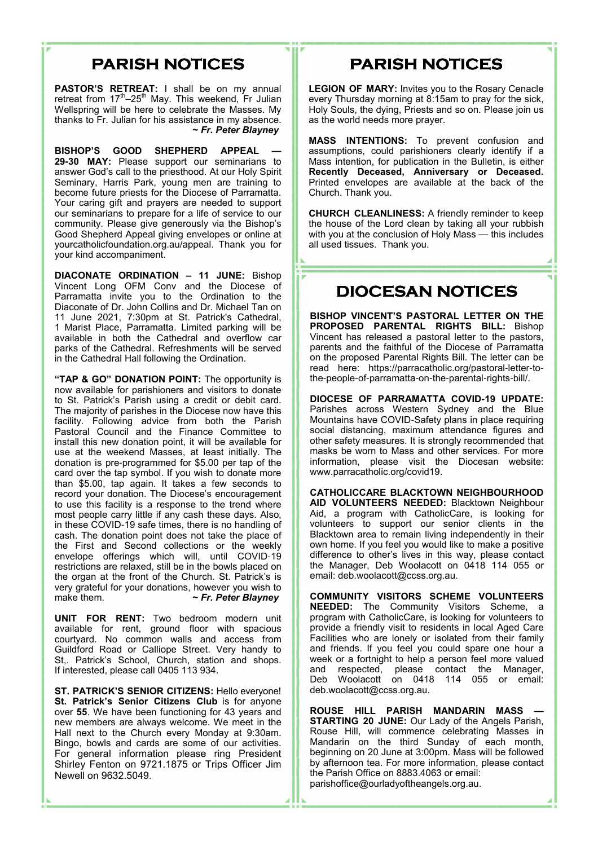# **PARISH NOTICES**

**PASTOR'S RETREAT:** I shall be on my annual retreat from 17<sup>th</sup>–25<sup>th</sup> May. This weekend, Fr Julian Wellspring will be here to celebrate the Masses. My thanks to Fr. Julian for his assistance in my absence. **~** *Fr. Peter Blayney*

**BISHOP'S GOOD SHEPHERD APPEAL — 29-30 MAY:** Please support our seminarians to answer God's call to the priesthood. At our Holy Spirit Seminary, Harris Park, young men are training to become future priests for the Diocese of Parramatta. Your caring gift and prayers are needed to support our seminarians to prepare for a life of service to our community. Please give generously via the Bishop's Good Shepherd Appeal giving envelopes or online at yourcatholicfoundation.org.au/appeal. Thank you for your kind accompaniment.

**DIACONATE ORDINATION – 11 JUNE:** Bishop Vincent Long OFM Conv and the Diocese of Parramatta invite you to the Ordination to the Diaconate of Dr. John Collins and Dr. Michael Tan on 11 June 2021, 7:30pm at St. Patrick's Cathedral, 1 Marist Place, Parramatta. Limited parking will be available in both the Cathedral and overflow car parks of the Cathedral. Refreshments will be served in the Cathedral Hall following the Ordination.

**"TAP & GO" DONATION POINT:** The opportunity is now available for parishioners and visitors to donate to St. Patrick's Parish using a credit or debit card. The majority of parishes in the Diocese now have this facility. Following advice from both the Parish Pastoral Council and the Finance Committee to install this new donation point, it will be available for use at the weekend Masses, at least initially. The donation is pre-programmed for \$5.00 per tap of the card over the tap symbol. If you wish to donate more than \$5.00, tap again. It takes a few seconds to record your donation. The Diocese's encouragement to use this facility is a response to the trend where most people carry little if any cash these days. Also, in these COVID-19 safe times, there is no handling of cash. The donation point does not take the place of the First and Second collections or the weekly envelope offerings which will, until COVID-19 restrictions are relaxed, still be in the bowls placed on the organ at the front of the Church. St. Patrick's is very grateful for your donations, however you wish to make them. **~** *Fr. Peter Blayney*

**UNIT FOR RENT:** Two bedroom modern unit available for rent, ground floor with spacious courtyard. No common walls and access from Guildford Road or Calliope Street. Very handy to St,. Patrick's School, Church, station and shops. If interested, please call 0405 113 934.

**ST. PATRICK'S SENIOR CITIZENS:** Hello everyone! **St. Patrick's Senior Citizens Club** is for anyone over **55**. We have been functioning for 43 years and new members are always welcome. We meet in the Hall next to the Church every Monday at 9:30am. Bingo, bowls and cards are some of our activities. For general information please ring President Shirley Fenton on 9721.1875 or Trips Officer Jim Newell on 9632.5049.

# **PARISH NOTICES**

**LEGION OF MARY:** Invites you to the Rosary Cenacle every Thursday morning at 8:15am to pray for the sick, Holy Souls, the dying, Priests and so on. Please join us as the world needs more prayer.

**MASS INTENTIONS:** To prevent confusion and assumptions, could parishioners clearly identify if a Mass intention, for publication in the Bulletin, is either **Recently Deceased, Anniversary or Deceased.** Printed envelopes are available at the back of the Church. Thank you.

**CHURCH CLEANLINESS:** A friendly reminder to keep the house of the Lord clean by taking all your rubbish with you at the conclusion of Holy Mass — this includes all used tissues. Thank you.

### **DIOCESAN NOTICES**

**BISHOP VINCENT'S PASTORAL LETTER ON THE PROPOSED PARENTAL RIGHTS BILL:** Bishop Vincent has released a pastoral letter to the pastors, parents and the faithful of the Diocese of Parramatta on the proposed Parental Rights Bill. The letter can be read here: https://parracatholic.org/pastoral-letter-tothe-people-of-parramatta-on-the-parental-rights-bill/.

**DIOCESE OF PARRAMATTA COVID-19 UPDATE:** Parishes across Western Sydney and the Blue Mountains have COVID-Safety plans in place requiring social distancing, maximum attendance figures and other safety measures. It is strongly recommended that masks be worn to Mass and other services. For more information, please visit the Diocesan website: www.parracatholic.org/covid19.

**CATHOLICCARE BLACKTOWN NEIGHBOURHOOD AID VOLUNTEERS NEEDED:** Blacktown Neighbour Aid, a program with CatholicCare, is looking for volunteers to support our senior clients in the Blacktown area to remain living independently in their own home. If you feel you would like to make a positive difference to other's lives in this way, please contact the Manager, Deb Woolacott on 0418 114 055 or email: deb.woolacott@ccss.org.au.

**COMMUNITY VISITORS SCHEME VOLUNTEERS NEEDED:** The Community Visitors Scheme, a program with CatholicCare, is looking for volunteers to provide a friendly visit to residents in local Aged Care Facilities who are lonely or isolated from their family and friends. If you feel you could spare one hour a week or a fortnight to help a person feel more valued and respected, please contact the Manager, Deb Woolacott on 0418 114 055 or email: deb.woolacott@ccss.org.au.

**ROUSE HILL PARISH MANDARIN MASS — STARTING 20 JUNE:** Our Lady of the Angels Parish, Rouse Hill, will commence celebrating Masses in Mandarin on the third Sunday of each month, beginning on 20 June at 3:00pm. Mass will be followed by afternoon tea. For more information, please contact the Parish Office on 8883.4063 or email: parishoffice@ourladyoftheangels.org.au.